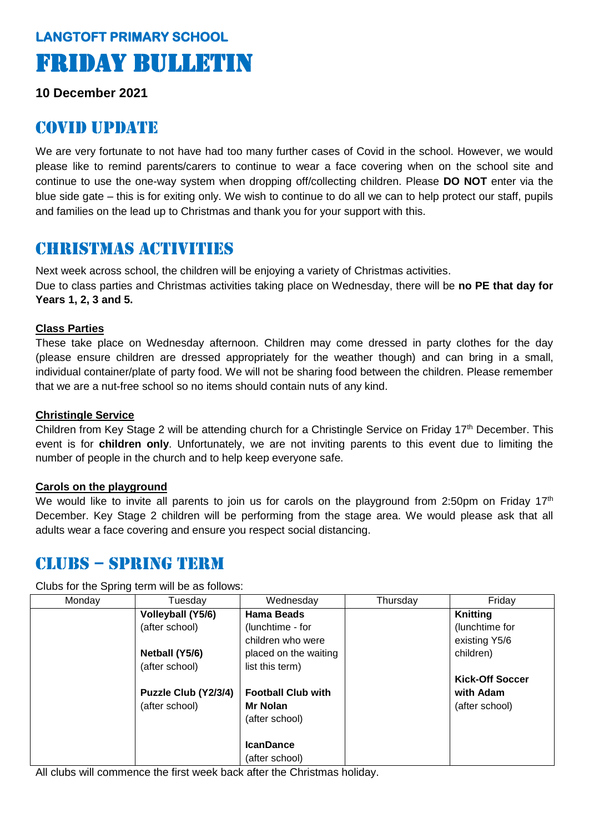# **LANGTOFT PRIMARY SCHOOL**  Friday Bulletin

**10 December 2021**

## COVID UPDATE

We are very fortunate to not have had too many further cases of Covid in the school. However, we would please like to remind parents/carers to continue to wear a face covering when on the school site and continue to use the one-way system when dropping off/collecting children. Please **DO NOT** enter via the blue side gate – this is for exiting only. We wish to continue to do all we can to help protect our staff, pupils and families on the lead up to Christmas and thank you for your support with this.

# Christmas activities

Next week across school, the children will be enjoying a variety of Christmas activities. Due to class parties and Christmas activities taking place on Wednesday, there will be **no PE that day for Years 1, 2, 3 and 5.** 

#### **Class Parties**

These take place on Wednesday afternoon. Children may come dressed in party clothes for the day (please ensure children are dressed appropriately for the weather though) and can bring in a small, individual container/plate of party food. We will not be sharing food between the children. Please remember that we are a nut-free school so no items should contain nuts of any kind.

#### **Christingle Service**

Children from Key Stage 2 will be attending church for a Christingle Service on Friday 17<sup>th</sup> December. This event is for **children only**. Unfortunately, we are not inviting parents to this event due to limiting the number of people in the church and to help keep everyone safe.

#### **Carols on the playground**

We would like to invite all parents to join us for carols on the playground from 2:50pm on Friday 17<sup>th</sup> December. Key Stage 2 children will be performing from the stage area. We would please ask that all adults wear a face covering and ensure you respect social distancing.

### CLUBS – SPRING TERM

Clubs for the Spring term will be as follows:

| Monday | Tuesday              | Wednesday                 | Thursday | Friday                 |
|--------|----------------------|---------------------------|----------|------------------------|
|        | Volleyball (Y5/6)    | <b>Hama Beads</b>         |          | Knitting               |
|        | (after school)       | (lunchtime - for          |          | (lunchtime for         |
|        |                      | children who were         |          | existing Y5/6          |
|        | Netball (Y5/6)       | placed on the waiting     |          | children)              |
|        | (after school)       | list this term)           |          |                        |
|        |                      |                           |          | <b>Kick-Off Soccer</b> |
|        | Puzzle Club (Y2/3/4) | <b>Football Club with</b> |          | with Adam              |
|        | (after school)       | Mr Nolan                  |          | (after school)         |
|        |                      | (after school)            |          |                        |
|        |                      |                           |          |                        |
|        |                      | <b>IcanDance</b>          |          |                        |
|        |                      | (after school)            |          |                        |

All clubs will commence the first week back after the Christmas holiday.